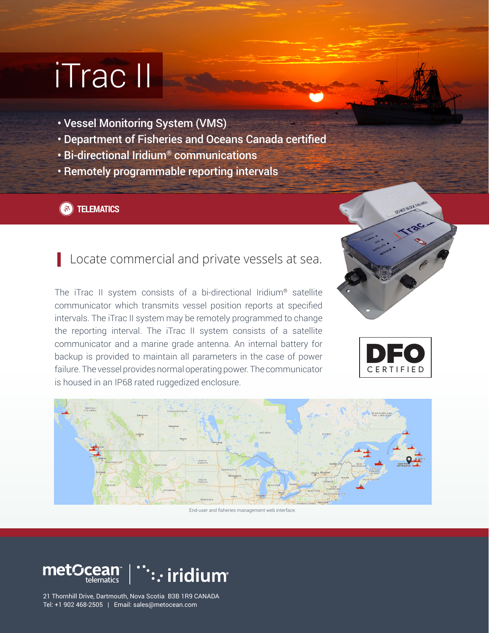# iTrac II

- Vessel Monitoring System (VMS)
- Department of Fisheries and Oceans Canada certified
- Bi-directional Iridium® communications
- Remotely programmable reporting intervals

## **(3)** TELEMATICS

# Locate commercial and private vessels at sea.

The iTrac II system consists of a bi-directional Iridium® satellite communicator which transmits vessel position reports at specified intervals. The iTrac II system may be remotely programmed to change the reporting interval. The iTrac II system consists of a satellite communicator and a marine grade antenna. An internal battery for backup is provided to maintain all parameters in the case of power failure. The vessel provides normal operating power. The communicator is housed in an IP68 rated ruggedized enclosure.







#### End-user and fisheries management web interface.



21 Thornhill Drive, Dartmouth, Nova Scotia B3B 1R9 CANADA Tel: +1 902 468-2505 | Email: sales@metocean.com